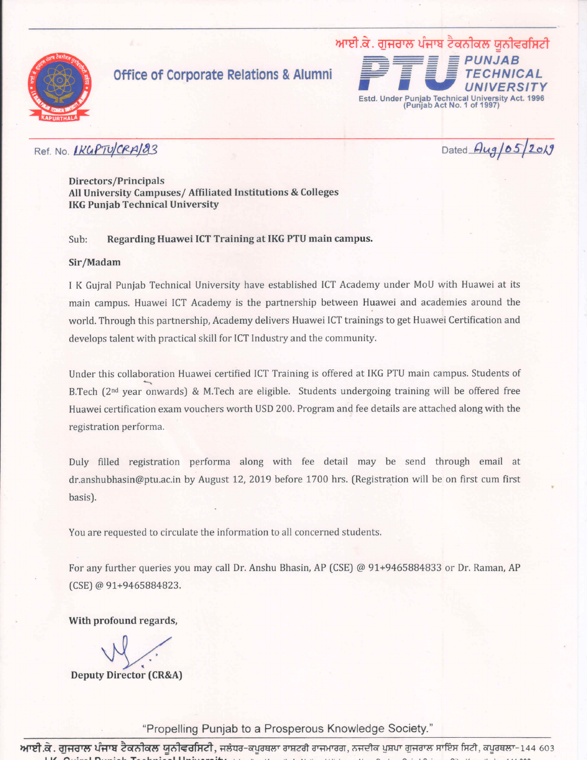

### **Office of Corporate Relations & Alumni**



### Ref. No. IKGPTUCRAI83

Dated Aug/05/2019

Directors/Principals All University Campuses/ Affiliated Institutions & Colleges **IKG Punjab Technical University** 

#### Regarding Huawei ICT Training at IKG PTU main campus. Sub:

#### Sir/Madam

I K Gujral Punjab Technical University have established ICT Academy under MoU with Huawei at its main campus. Huawei ICT Academy is the partnership between Huawei and academies around the world. Through this partnership, Academy delivers Huawei ICT trainings to get Huawei Certification and develops talent with practical skill for ICT Industry and the community.

Under this collaboration Huawei certified ICT Training is offered at IKG PTU main campus. Students of B.Tech (2<sup>nd</sup> year onwards) & M.Tech are eligible. Students undergoing training will be offered free Huawei certification exam vouchers worth USD 200. Program and fee details are attached along with the registration performa.

Duly filled registration performa along with fee detail may be send through email at dr.anshubhasin@ptu.ac.in by August 12, 2019 before 1700 hrs. (Registration will be on first cum first basis).

You are requested to circulate the information to all concerned students.

For any further queries you may call Dr. Anshu Bhasin, AP (CSE) @ 91+9465884833 or Dr. Raman, AP (CSE) @ 91+9465884823.

With profound regards,

**Deputy Director (CR&A)** 

"Propelling Punjab to a Prosperous Knowledge Society."

<mark>ਆਈ.ਕੇ. ਗੁਜਰਾਲ ਪੰਜਾਬ ਟੈਕਨੀਕਲ ਯੂਨੀਵਰਸਿਟੀ</mark>, ਜਲੰਧਰ-ਕਪੂਰਥਲਾ ਰਾਸ਼ਟਰੀ ਰਾਜਮਾਰਗ, ਨਜਦੀਕ ਪੁਸ਼ਪਾ ਗੁਜਰਾਲ ਸਾਇੰਸ ਸਿਟੀ, ਕਪੂਰਥਲਾ-144 603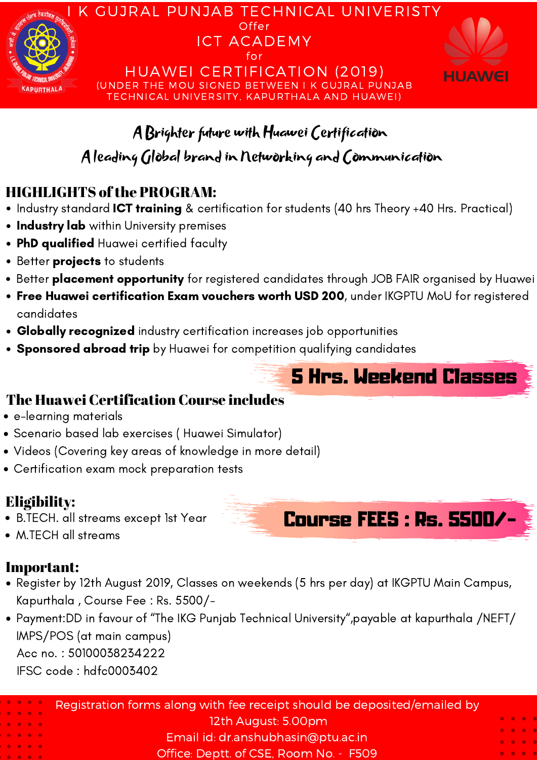

# A Brighter future with Huawei Certification

# A leading Global brandin Networking and Communication

## HIGHLIGHTS ofthe PROGRAM:

- Industry standard **ICT training** & certification for students (40 hrs Theory +40 Hrs. Practical)
- **Industry lab** within University premises
- **PhD qualified** Huawei certified faculty
- Better **projects** to students
- Better **placement opportunity** for registered candidates through JOB FAIR organised by Huawei
- Free Huawei certification Exam vouchers worth USD 200, under IKGPTU MoU for registered candidates
- Globally recognized industry certification increases job opportunities
- Sponsored abroad trip by Huawei for competition qualifying candidates

- e-learning materials
- Scenario based lab exercises ( Huawei Simulator)
- Videos (Covering key areas of knowledge in more detail)
- Certification exam mock preparation tests

### The Huawei Certification Course includes

# Eligibility:

- B.TECH. all streams except 1st Year
- M.TECH all streams

### Important:



- Payment:DD in favour of "The IKG Punjab Technical University " ,payable at kapurthala /NEFT/ IMPS/POS (at main campus)
	- Acc no. : 50100038234222
	- IFSC code : hdfc0003402

|                                                                                                                                                                                                                                | Registration forms along with fee receipt should be deposited/emailed by |                                                                                                                                      |
|--------------------------------------------------------------------------------------------------------------------------------------------------------------------------------------------------------------------------------|--------------------------------------------------------------------------|--------------------------------------------------------------------------------------------------------------------------------------|
| $\begin{array}{ccccccccccccccccc} \bullet & \bullet & \bullet & \bullet & \bullet & \bullet \end{array}$<br>$\begin{array}{ccccccccccccccccc} \bullet & \bullet & \bullet & \bullet & \bullet & \bullet & \bullet \end{array}$ | 12th August: 5.00pm                                                      | $\bullet\quad \bullet\quad \bullet$                                                                                                  |
| $\begin{array}{ccccccccccccccccc} \bullet & \bullet & \bullet & \bullet & \bullet & \bullet & \bullet \end{array}$                                                                                                             | Email id: dr.anshubhasin@ptu.ac.in                                       | $\begin{array}{ccccccccccccc} \bullet & \bullet & \bullet & \bullet & \bullet \end{array}$<br>$\bullet\quad\bullet\quad\bullet\quad$ |
| $\bullet\quad\bullet\quad\bullet\quad\bullet\quad\bullet\quad$<br>$\bullet\hspace{0.4cm}\bullet\hspace{0.4cm}\bullet\hspace{0.4cm}\bullet\hspace{0.4cm}\bullet$                                                                | Office: Deptt. of CSE, Room No. - F509                                   | $\begin{array}{ccccccccccccc} \bullet & \bullet & \bullet & \bullet & \bullet \end{array}$                                           |



5 Hrs. Weekend Classes